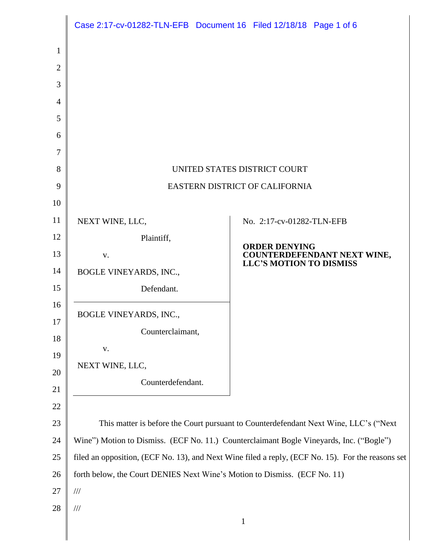|                | Case 2:17-cv-01282-TLN-EFB Document 16 Filed 12/18/18 Page 1 of 6                                 |                                                               |
|----------------|---------------------------------------------------------------------------------------------------|---------------------------------------------------------------|
| $\mathbf{1}$   |                                                                                                   |                                                               |
| $\overline{2}$ |                                                                                                   |                                                               |
| 3              |                                                                                                   |                                                               |
| $\overline{4}$ |                                                                                                   |                                                               |
| 5              |                                                                                                   |                                                               |
| 6              |                                                                                                   |                                                               |
| 7              |                                                                                                   |                                                               |
| 8              | UNITED STATES DISTRICT COURT                                                                      |                                                               |
| 9              | EASTERN DISTRICT OF CALIFORNIA                                                                    |                                                               |
| 10             |                                                                                                   |                                                               |
| 11             | NEXT WINE, LLC,                                                                                   | No. 2:17-cv-01282-TLN-EFB                                     |
| 12             | Plaintiff,                                                                                        | <b>ORDER DENYING</b>                                          |
| 13             | V.                                                                                                | COUNTERDEFENDANT NEXT WINE,<br><b>LLC'S MOTION TO DISMISS</b> |
| 14             | BOGLE VINEYARDS, INC.,                                                                            |                                                               |
| 15             | Defendant.                                                                                        |                                                               |
| 16             | BOGLE VINEYARDS, INC.,                                                                            |                                                               |
| 17             | Counterclaimant,                                                                                  |                                                               |
| 18             | ${\bf V}$ .                                                                                       |                                                               |
| 19             | NEXT WINE, LLC,                                                                                   |                                                               |
| 20             | Counterdefendant.                                                                                 |                                                               |
| 21             |                                                                                                   |                                                               |
| 22             |                                                                                                   |                                                               |
| 23             | This matter is before the Court pursuant to Counterdefendant Next Wine, LLC's ("Next              |                                                               |
| 24             | Wine") Motion to Dismiss. (ECF No. 11.) Counterclaimant Bogle Vineyards, Inc. ("Bogle")           |                                                               |
| 25             | filed an opposition, (ECF No. 13), and Next Wine filed a reply, (ECF No. 15). For the reasons set |                                                               |
| 26<br>27       | forth below, the Court DENIES Next Wine's Motion to Dismiss. (ECF No. 11)                         |                                                               |
| 28             | $/\!/ \!/$<br>$/\!/ \!/$                                                                          |                                                               |
|                |                                                                                                   | 1                                                             |

I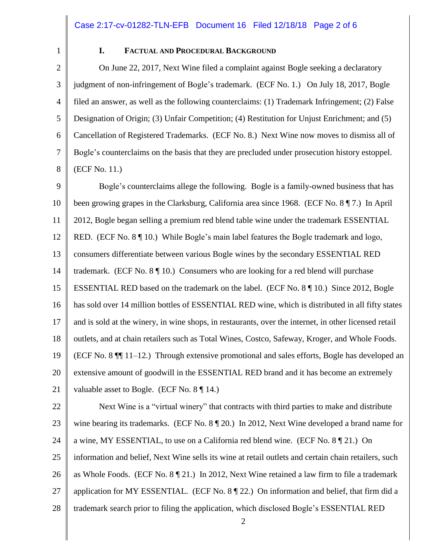1

## **I. FACTUAL AND PROCEDURAL BACKGROUND**

2 3 4 5 6 7 8 On June 22, 2017, Next Wine filed a complaint against Bogle seeking a declaratory judgment of non-infringement of Bogle's trademark. (ECF No. 1.) On July 18, 2017, Bogle filed an answer, as well as the following counterclaims: (1) Trademark Infringement; (2) False Designation of Origin; (3) Unfair Competition; (4) Restitution for Unjust Enrichment; and (5) Cancellation of Registered Trademarks. (ECF No. 8.) Next Wine now moves to dismiss all of Bogle's counterclaims on the basis that they are precluded under prosecution history estoppel. (ECF No. 11.)

9 10 11 12 13 14 15 16 17 18 19 20 21 Bogle's counterclaims allege the following. Bogle is a family-owned business that has been growing grapes in the Clarksburg, California area since 1968. (ECF No. 8 ¶ 7.) In April 2012, Bogle began selling a premium red blend table wine under the trademark ESSENTIAL RED. (ECF No. 8 ¶ 10.) While Bogle's main label features the Bogle trademark and logo, consumers differentiate between various Bogle wines by the secondary ESSENTIAL RED trademark. (ECF No. 8 ¶ 10.) Consumers who are looking for a red blend will purchase ESSENTIAL RED based on the trademark on the label. (ECF No. 8 ¶ 10.) Since 2012, Bogle has sold over 14 million bottles of ESSENTIAL RED wine, which is distributed in all fifty states and is sold at the winery, in wine shops, in restaurants, over the internet, in other licensed retail outlets, and at chain retailers such as Total Wines, Costco, Safeway, Kroger, and Whole Foods. (ECF No. 8 ¶¶ 11–12.) Through extensive promotional and sales efforts, Bogle has developed an extensive amount of goodwill in the ESSENTIAL RED brand and it has become an extremely valuable asset to Bogle. (ECF No. 8 ¶ 14.)

22 23 24 25 26 27 28 Next Wine is a "virtual winery" that contracts with third parties to make and distribute wine bearing its trademarks. (ECF No. 8  $\P$  20.) In 2012, Next Wine developed a brand name for a wine, MY ESSENTIAL, to use on a California red blend wine. (ECF No. 8 ¶ 21.) On information and belief, Next Wine sells its wine at retail outlets and certain chain retailers, such as Whole Foods. (ECF No. 8 ¶ 21.) In 2012, Next Wine retained a law firm to file a trademark application for MY ESSENTIAL. (ECF No. 8 ¶ 22.) On information and belief, that firm did a trademark search prior to filing the application, which disclosed Bogle's ESSENTIAL RED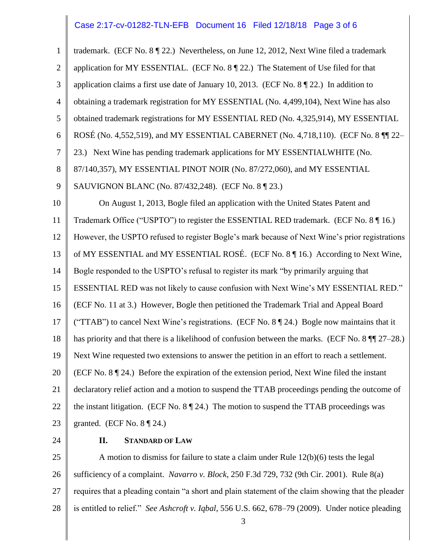#### Case 2:17-cv-01282-TLN-EFB Document 16 Filed 12/18/18 Page 3 of 6

1 2 3 4 5 6 7 8 9 10 11 12 13 14 15 16 17 18 19 20 21 22 23 trademark. (ECF No. 8 ¶ 22.) Nevertheless, on June 12, 2012, Next Wine filed a trademark application for MY ESSENTIAL. (ECF No. 8 ¶ 22.) The Statement of Use filed for that application claims a first use date of January 10, 2013. (ECF No. 8 ¶ 22.) In addition to obtaining a trademark registration for MY ESSENTIAL (No. 4,499,104), Next Wine has also obtained trademark registrations for MY ESSENTIAL RED (No. 4,325,914), MY ESSENTIAL ROSÉ (No. 4,552,519), and MY ESSENTIAL CABERNET (No. 4,718,110). (ECF No. 8 ¶¶ 22– 23.) Next Wine has pending trademark applications for MY ESSENTIALWHITE (No. 87/140,357), MY ESSENTIAL PINOT NOIR (No. 87/272,060), and MY ESSENTIAL SAUVIGNON BLANC (No. 87/432,248). (ECF No. 8 ¶ 23.) On August 1, 2013, Bogle filed an application with the United States Patent and Trademark Office ("USPTO") to register the ESSENTIAL RED trademark. (ECF No. 8 ¶ 16.) However, the USPTO refused to register Bogle's mark because of Next Wine's prior registrations of MY ESSENTIAL and MY ESSENTIAL ROSÉ. (ECF No. 8 ¶ 16.) According to Next Wine, Bogle responded to the USPTO's refusal to register its mark "by primarily arguing that ESSENTIAL RED was not likely to cause confusion with Next Wine's MY ESSENTIAL RED." (ECF No. 11 at 3.) However, Bogle then petitioned the Trademark Trial and Appeal Board ("TTAB") to cancel Next Wine's registrations. (ECF No.  $8 \parallel 24$ .) Bogle now maintains that it has priority and that there is a likelihood of confusion between the marks. (ECF No. 8 ¶¶ 27–28.) Next Wine requested two extensions to answer the petition in an effort to reach a settlement. (ECF No. 8 ¶ 24.) Before the expiration of the extension period, Next Wine filed the instant declaratory relief action and a motion to suspend the TTAB proceedings pending the outcome of the instant litigation. (ECF No.  $8 \sqrt{\frac{24}{12}}$ ) The motion to suspend the TTAB proceedings was granted. (ECF No.  $8 \sqrt{9}$  24.)

24

#### **II. STANDARD OF LAW**

25 26 27 28 A motion to dismiss for failure to state a claim under Rule 12(b)(6) tests the legal sufficiency of a complaint. *Navarro v. Block*, 250 F.3d 729, 732 (9th Cir. 2001). Rule 8(a) requires that a pleading contain "a short and plain statement of the claim showing that the pleader is entitled to relief." *See Ashcroft v. Iqbal*, 556 U.S. 662, 678–79 (2009). Under notice pleading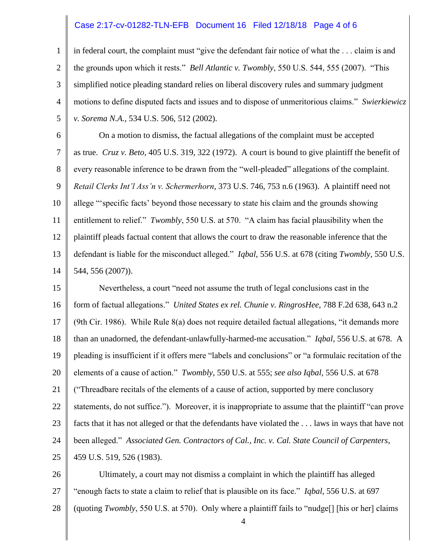### Case 2:17-cv-01282-TLN-EFB Document 16 Filed 12/18/18 Page 4 of 6

1 2 3 4 5 in federal court, the complaint must "give the defendant fair notice of what the . . . claim is and the grounds upon which it rests." *Bell Atlantic v. Twombly*, 550 U.S. 544, 555 (2007). "This simplified notice pleading standard relies on liberal discovery rules and summary judgment motions to define disputed facts and issues and to dispose of unmeritorious claims." *Swierkiewicz v. Sorema N.A.*, 534 U.S. 506, 512 (2002).

6 7 8 9 10 11 12 13 14 On a motion to dismiss, the factual allegations of the complaint must be accepted as true. *Cruz v. Beto*, 405 U.S. 319, 322 (1972). A court is bound to give plaintiff the benefit of every reasonable inference to be drawn from the "well-pleaded" allegations of the complaint. *Retail Clerks Int'l Ass'n v. Schermerhorn*, 373 U.S. 746, 753 n.6 (1963). A plaintiff need not allege "'specific facts' beyond those necessary to state his claim and the grounds showing entitlement to relief." *Twombly*, 550 U.S. at 570. "A claim has facial plausibility when the plaintiff pleads factual content that allows the court to draw the reasonable inference that the defendant is liable for the misconduct alleged." *Iqbal*, 556 U.S. at 678 (citing *Twombly*, 550 U.S. 544, 556 (2007)).

15 16 17 18 19 20 21 22 23 24 25 Nevertheless, a court "need not assume the truth of legal conclusions cast in the form of factual allegations." *United States ex rel. Chunie v. RingrosHee*, 788 F.2d 638, 643 n.2 (9th Cir. 1986). While Rule 8(a) does not require detailed factual allegations, "it demands more than an unadorned, the defendant-unlawfully-harmed-me accusation." *Iqbal*, 556 U.S. at 678. A pleading is insufficient if it offers mere "labels and conclusions" or "a formulaic recitation of the elements of a cause of action." *Twombly*, 550 U.S. at 555; *see also Iqbal*, 556 U.S. at 678 ("Threadbare recitals of the elements of a cause of action, supported by mere conclusory statements, do not suffice."). Moreover, it is inappropriate to assume that the plaintiff "can prove facts that it has not alleged or that the defendants have violated the . . . laws in ways that have not been alleged." *Associated Gen. Contractors of Cal., Inc. v. Cal. State Council of Carpenters*, 459 U.S. 519, 526 (1983).

26 27 28 Ultimately, a court may not dismiss a complaint in which the plaintiff has alleged "enough facts to state a claim to relief that is plausible on its face." *Iqbal*, 556 U.S. at 697 (quoting *Twombly*, 550 U.S. at 570). Only where a plaintiff fails to "nudge[] [his or her] claims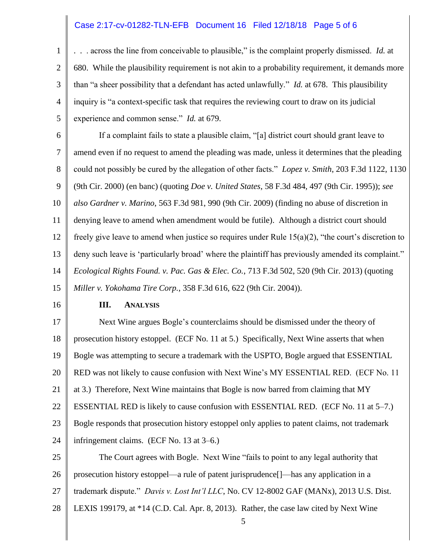#### Case 2:17-cv-01282-TLN-EFB Document 16 Filed 12/18/18 Page 5 of 6

1 2 3 4 5 . . . across the line from conceivable to plausible," is the complaint properly dismissed. *Id.* at 680. While the plausibility requirement is not akin to a probability requirement, it demands more than "a sheer possibility that a defendant has acted unlawfully." *Id.* at 678. This plausibility inquiry is "a context-specific task that requires the reviewing court to draw on its judicial experience and common sense." *Id.* at 679.

6 7 8 9 10 11 12 13 14 15 If a complaint fails to state a plausible claim, "[a] district court should grant leave to amend even if no request to amend the pleading was made, unless it determines that the pleading could not possibly be cured by the allegation of other facts." *Lopez v. Smith*, 203 F.3d 1122, 1130 (9th Cir. 2000) (en banc) (quoting *Doe v. United States*, 58 F.3d 484, 497 (9th Cir. 1995)); *see also Gardner v. Marino*, 563 F.3d 981, 990 (9th Cir. 2009) (finding no abuse of discretion in denying leave to amend when amendment would be futile). Although a district court should freely give leave to amend when justice so requires under Rule  $15(a)(2)$ , "the court's discretion to deny such leave is 'particularly broad' where the plaintiff has previously amended its complaint." *Ecological Rights Found. v. Pac. Gas & Elec. Co.*, 713 F.3d 502, 520 (9th Cir. 2013) (quoting *Miller v. Yokohama Tire Corp.*, 358 F.3d 616, 622 (9th Cir. 2004)).

16

#### **III. ANALYSIS**

17 18 19 20 21 22 23 24 Next Wine argues Bogle's counterclaims should be dismissed under the theory of prosecution history estoppel. (ECF No. 11 at 5.) Specifically, Next Wine asserts that when Bogle was attempting to secure a trademark with the USPTO, Bogle argued that ESSENTIAL RED was not likely to cause confusion with Next Wine's MY ESSENTIAL RED. (ECF No. 11 at 3.) Therefore, Next Wine maintains that Bogle is now barred from claiming that MY ESSENTIAL RED is likely to cause confusion with ESSENTIAL RED. (ECF No. 11 at 5–7.) Bogle responds that prosecution history estoppel only applies to patent claims, not trademark infringement claims. (ECF No. 13 at 3–6.)

25 26 27 28 The Court agrees with Bogle. Next Wine "fails to point to any legal authority that prosecution history estoppel—a rule of patent jurisprudence[]—has any application in a trademark dispute." *Davis v. Lost Int'l LLC*, No. CV 12-8002 GAF (MANx), 2013 U.S. Dist. LEXIS 199179, at \*14 (C.D. Cal. Apr. 8, 2013). Rather, the case law cited by Next Wine